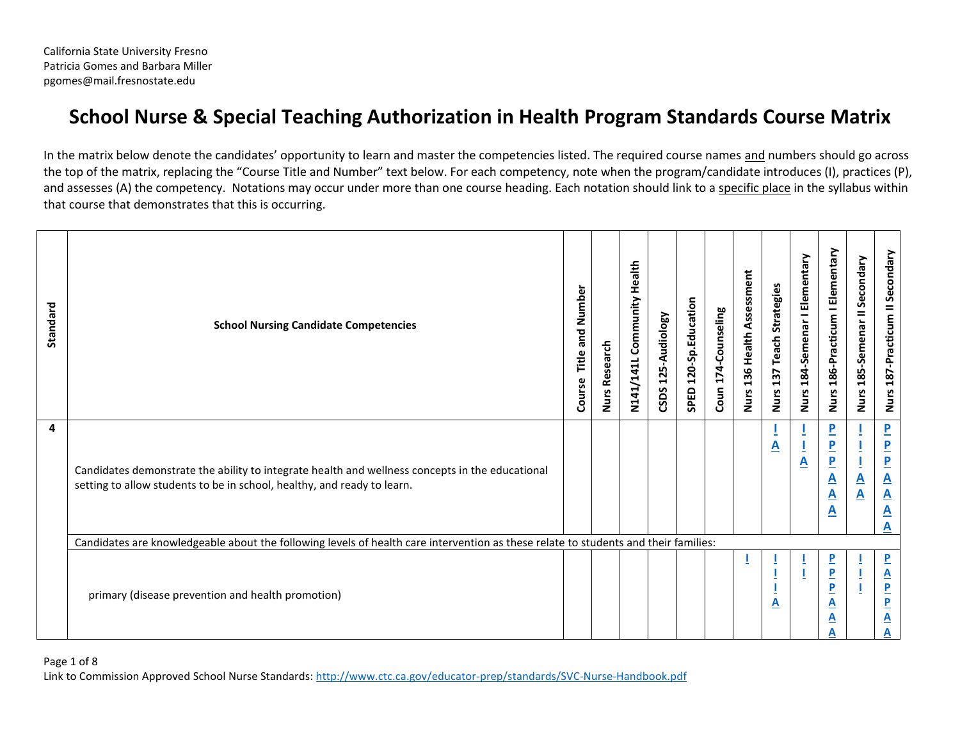# **School Nurse & Special Teaching Authorization in Health Program Standards Course Matrix**

In the matrix below denote the candidates' opportunity to learn and master the competencies listed. The required course names and numbers should go across the top of the matrix, replacing the "Course Title and Number" text below. For each competency, note when the program/candidate introduces (I), practices (P), and assesses (A) the competency. Notations may occur under more than one course heading. Each notation should link to a specific place in the syllabus within that course that demonstrates that this is occurring.

| Standard | <b>School Nursing Candidate Competencies</b>                                                                                                                               | Number<br>and<br>Title<br>Course | <b>Nurs Research</b> | Health<br>N141/141L Community | 125-Audiology<br>CSDS | SPED 120-Sp.Education | Coun 174-Counseling | Nurs 136 Health Assessment | <b>Strategies</b><br>Teach<br>137<br><b>Nurs</b> | Nurs 184-Semenar I Elementary | Nurs 186-Practicum I Elementary                                                              | Nurs 185-Semenar II Secondary            | Nurs 187-Practicum II Secondary                                                                                                                       |
|----------|----------------------------------------------------------------------------------------------------------------------------------------------------------------------------|----------------------------------|----------------------|-------------------------------|-----------------------|-----------------------|---------------------|----------------------------|--------------------------------------------------|-------------------------------|----------------------------------------------------------------------------------------------|------------------------------------------|-------------------------------------------------------------------------------------------------------------------------------------------------------|
| 4        | Candidates demonstrate the ability to integrate health and wellness concepts in the educational<br>setting to allow students to be in school, healthy, and ready to learn. |                                  |                      |                               |                       |                       |                     |                            | <u>A</u>                                         | $\underline{\mathsf{A}}$      | $\overline{\mathbf{P}}$<br>$\overline{P}$<br>$\overline{P}$<br><u>А</u><br><u>A</u><br>A     | $\underline{\mathbf{A}}$<br>$\mathbf{A}$ | $\overline{\mathbf{P}}$<br>$\overline{\mathbf{P}}$<br>$\overline{\mathbf{P}}$<br>$\underline{\mathsf{A}}$<br>$\overline{\mathbf{A}}$<br><u>A</u><br>А |
|          | Candidates are knowledgeable about the following levels of health care intervention as these relate to students and their families:                                        |                                  |                      |                               |                       |                       |                     |                            |                                                  |                               |                                                                                              |                                          |                                                                                                                                                       |
|          | primary (disease prevention and health promotion)                                                                                                                          |                                  |                      |                               |                       |                       |                     |                            | A                                                |                               | $\overline{\mathbf{P}}$<br>$\overline{P}$<br>$\overline{\mathbf{P}}$<br><u>A</u><br><u>А</u> |                                          | $\overline{\mathbf{P}}$<br>$\underline{\mathbf{A}}$<br>$\overline{P}$<br><u>P</u><br>A                                                                |

#### Page 1 of 8

Link to Commission Approved School Nurse Standards[: http://www.ctc.ca.gov/educator-prep/standards/SVC-Nurse-Handbook.pdf](http://www.ctc.ca.gov/educator-prep/standards/SVC-Nurse-Handbook.pdf)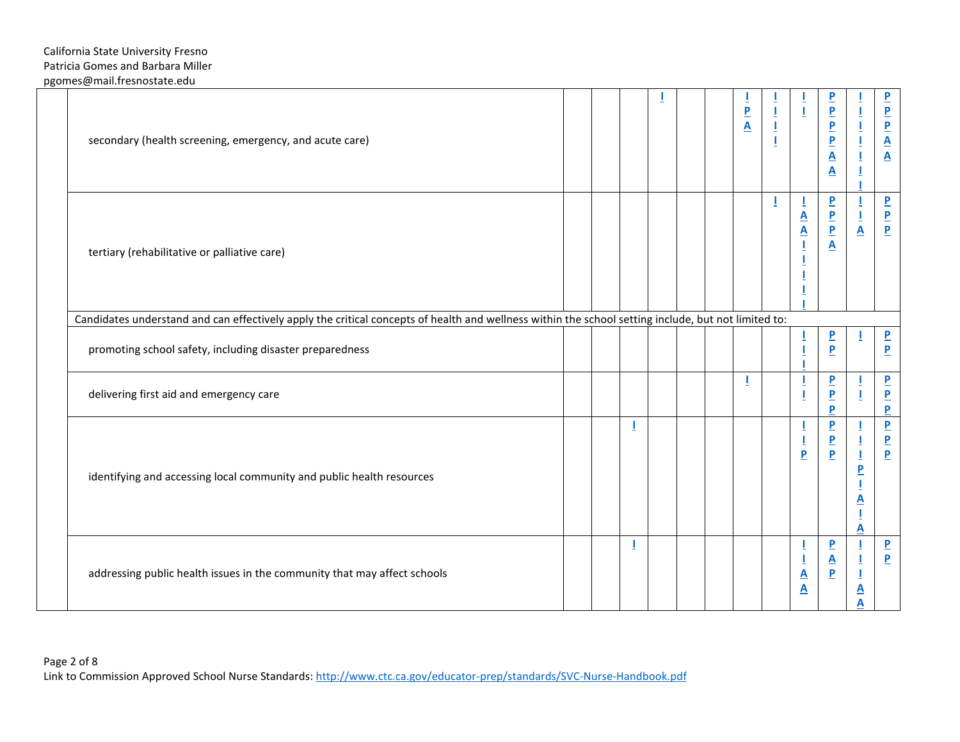| secondary (health screening, emergency, and acute care)                                                                                             |  |  |   |  |  |  | $\overline{\mathbf{P}}$<br>$\overline{\mathbf{A}}$ | Ī<br>I | ı<br>$\mathbf I$                                        | $\overline{\mathbf{P}}$<br>$\overline{\mathbf{P}}$<br>$\mathbf P$<br>$\overline{\mathbf{P}}$<br>$\overline{\mathbf{A}}$<br>$\overline{\mathbf{A}}$ | Ţ<br>Ţ<br>$\overline{1}$<br>$\bar{1}$                                       | $\overline{\mathbf{P}}$<br>$\frac{P}{P}$<br>$\frac{\mathbf{A}}{\mathbf{A}}$ |
|-----------------------------------------------------------------------------------------------------------------------------------------------------|--|--|---|--|--|--|----------------------------------------------------|--------|---------------------------------------------------------|----------------------------------------------------------------------------------------------------------------------------------------------------|-----------------------------------------------------------------------------|-----------------------------------------------------------------------------|
| tertiary (rehabilitative or palliative care)                                                                                                        |  |  |   |  |  |  |                                                    |        | $\mathbf{I}$<br>$\frac{\mathbf{A}}{\mathbf{A}}$         | $\overline{\mathbf{P}}$<br>$\overline{\mathbf{P}}$<br>$\mathbf P$<br>$\overline{\mathbf{A}}$                                                       | T<br>Ţ<br>$\underline{\mathbf{A}}$                                          | $\overline{\mathbf{P}}$<br>$\frac{P}{P}$                                    |
| Candidates understand and can effectively apply the critical concepts of health and wellness within the school setting include, but not limited to: |  |  |   |  |  |  |                                                    |        |                                                         |                                                                                                                                                    |                                                                             |                                                                             |
| promoting school safety, including disaster preparedness                                                                                            |  |  |   |  |  |  |                                                    |        | Ī<br>Ţ                                                  | $\overline{\mathbf{P}}$<br>$\overline{\mathbf{P}}$                                                                                                 |                                                                             | $\overline{\mathbf{P}}$<br>$\mathbf{P}$                                     |
| delivering first aid and emergency care                                                                                                             |  |  |   |  |  |  |                                                    |        | $\mathbf I$<br>Ţ                                        | $\mathbf P$<br>$\overline{\mathbf{P}}$<br>P                                                                                                        |                                                                             | $\overline{\mathbf{P}}$<br>$\frac{P}{P}$                                    |
| identifying and accessing local community and public health resources                                                                               |  |  | I |  |  |  |                                                    |        | L<br>$\frac{1}{P}$                                      | $\mathbf P$<br>$\overline{\mathbf{b}}$<br>$\overline{P}$                                                                                           | T<br>Ţ<br>$\pmb{\underline{1}}$<br>$\overline{\mathbf{P}}$<br><u>A</u><br>A | $\frac{P}{P}$                                                               |
| addressing public health issues in the community that may affect schools                                                                            |  |  |   |  |  |  |                                                    |        | T<br>$\frac{1}{\mathbf{A}}$<br>$\underline{\mathbf{A}}$ | $\overline{P}$<br>$\underline{\mathbf{A}}$<br>$\overline{\mathbf{P}}$                                                                              | Ţ<br>Ī<br><u>A</u><br>A                                                     | $\overline{\mathbf{P}}$<br>$\overline{\mathbf{P}}$                          |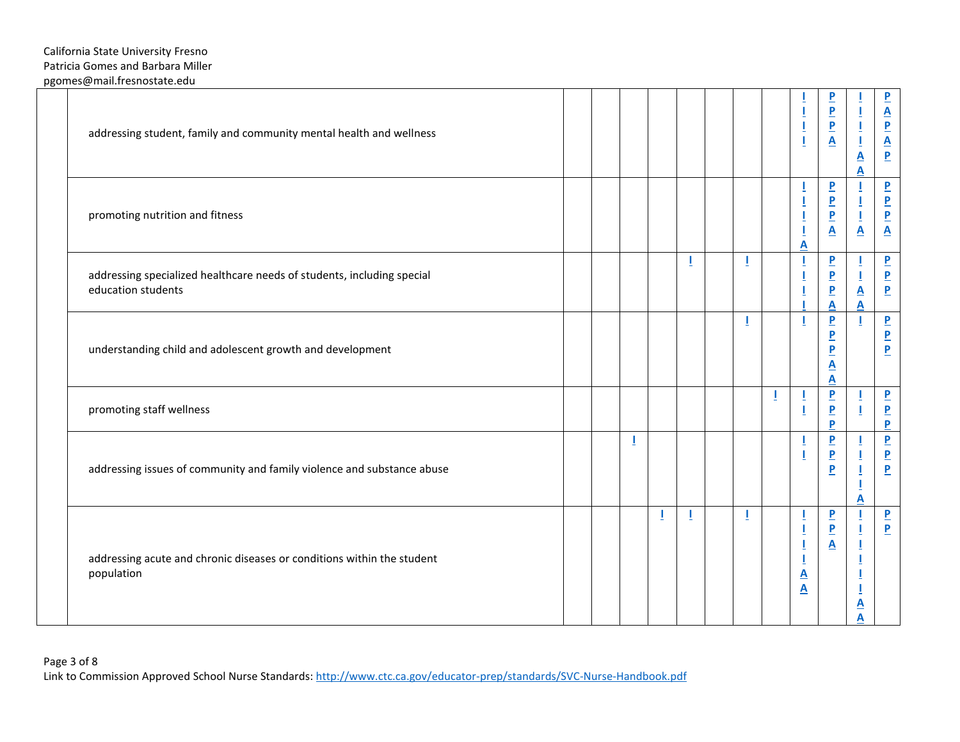| addressing student, family and community mental health and wellness                          |  |   |   |    |   |   | $\mathbf{I}%$<br>Ī                                                         | $\overline{\mathbf{P}}$<br>$\frac{P}{P}$<br>$\underline{\mathbf{A}}$                                             | I<br>Ţ<br>${\underline{\mathbf{A}}}$<br>A | $\overline{\mathbf{b}}$<br>$\frac{\mathbf{A}}{\mathbf{P}}$ $\frac{\mathbf{A}}{\mathbf{P}}$ |
|----------------------------------------------------------------------------------------------|--|---|---|----|---|---|----------------------------------------------------------------------------|------------------------------------------------------------------------------------------------------------------|-------------------------------------------|--------------------------------------------------------------------------------------------|
| promoting nutrition and fitness                                                              |  |   |   |    |   |   | A                                                                          | $\overline{\mathbf{P}}$<br>$\underline{\mathbf{P}}$<br>$\overline{\mathbf{P}}$<br>$\underline{\mathbf{A}}$       | Ī<br>Ţ<br>$\underline{\mathbf{A}}$        | $\underline{\mathsf{P}}$<br>$\frac{\mathbf{P}}{\mathbf{P}}$                                |
| addressing specialized healthcare needs of students, including special<br>education students |  |   |   |    |   |   |                                                                            | $\overline{\mathbf{P}}$<br>$\underline{\mathbf{P}}$<br>$\mathbf P$<br>A                                          | Ţ<br>$\underline{\mathbf{A}}$<br>A        | $\frac{P}{P}$                                                                              |
| understanding child and adolescent growth and development                                    |  |   |   |    | T |   | T                                                                          | $\underline{\mathsf{P}}$<br>$\overline{\mathbf{P}}$<br>$\overline{\mathbf{P}}$<br>${\underline{\mathsf A}}$<br>A |                                           | $\overline{\mathbf{P}}$<br>$\frac{P}{P}$                                                   |
| promoting staff wellness                                                                     |  |   |   |    |   | Ţ | Ī<br>$\overline{1}$                                                        | $\frac{P}{P}$<br>P                                                                                               |                                           | $\frac{P}{P}$                                                                              |
| addressing issues of community and family violence and substance abuse                       |  | J |   |    |   |   | Ī<br>$\overline{1}$                                                        | $\overline{\mathbf{P}}$<br>$\underline{\mathbf{P}}$<br>$\overline{P}$                                            | A                                         | $\frac{P}{P}$                                                                              |
| addressing acute and chronic diseases or conditions within the student<br>population         |  |   | Т | J. | T |   | T<br>$\mathbf{I}%$<br>Ī<br>$\overline{1}$<br>$\underline{\mathsf{A}}$<br>A | $\overline{\mathbf{P}}$<br>$\underline{\mathbf{P}}$<br>$\underline{\mathbf{A}}$                                  | <u>А</u>                                  | $\overline{\mathbf{P}}$<br>$\overline{\mathbf{P}}$                                         |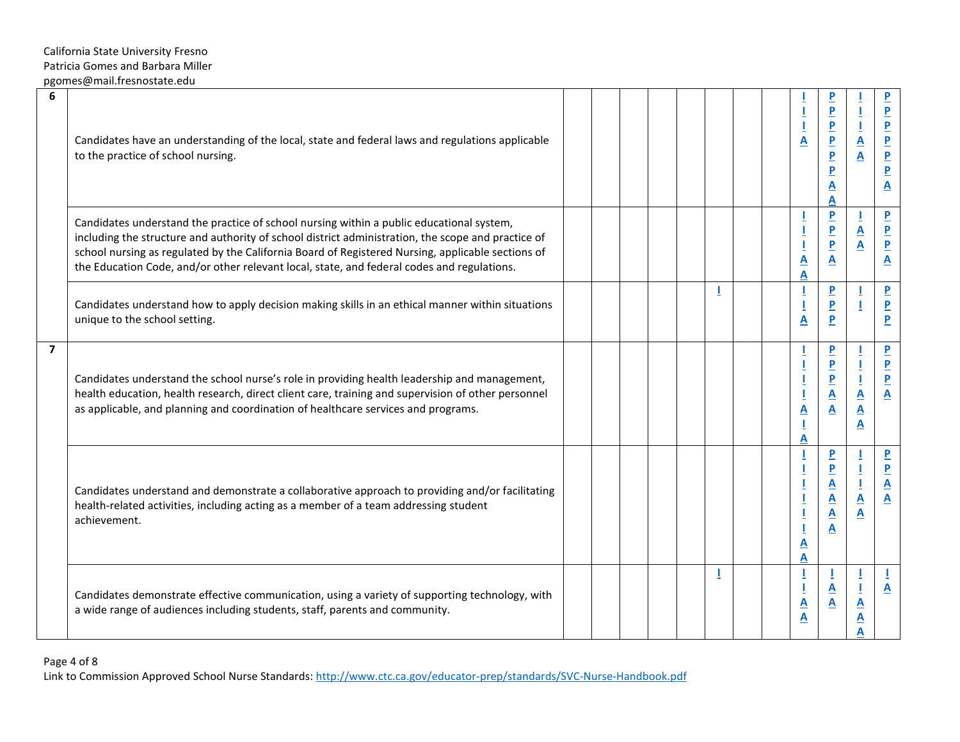| 6              | Candidates have an understanding of the local, state and federal laws and regulations applicable<br>to the practice of school nursing.                                                                                                                                                                                                                                                            |  |  |  |  | Ī<br>$\underline{\mathbf{A}}$                                      | $\overline{P}$<br>$\overline{P}$<br>$\overline{P}$<br>$\overline{\mathbf{P}}$<br>$\overline{\mathbf{P}}$<br><u>А</u><br>Α                       | $\overline{\mathbf{A}}$<br>$\overline{\mathbf{A}}$       | $\overline{\mathbf{P}}$<br>$\overline{\mathbf{P}}$<br>$\overline{\mathbf{P}}$<br>$\overline{\mathbf{b}}$<br>$\underline{\mathsf{P}}$<br>$\overline{\mathbf{P}}$<br>$\overline{\mathbf{A}}$ |
|----------------|---------------------------------------------------------------------------------------------------------------------------------------------------------------------------------------------------------------------------------------------------------------------------------------------------------------------------------------------------------------------------------------------------|--|--|--|--|--------------------------------------------------------------------|-------------------------------------------------------------------------------------------------------------------------------------------------|----------------------------------------------------------|--------------------------------------------------------------------------------------------------------------------------------------------------------------------------------------------|
|                | Candidates understand the practice of school nursing within a public educational system,<br>including the structure and authority of school district administration, the scope and practice of<br>school nursing as regulated by the California Board of Registered Nursing, applicable sections of<br>the Education Code, and/or other relevant local, state, and federal codes and regulations. |  |  |  |  | $\underline{\mathbf{A}}$<br>$\overline{\mathbf{A}}$                | $\overline{P}$<br>$\overline{P}$<br>$\overline{P}$<br>A                                                                                         | $\underline{\mathbf{A}}$<br>A                            | $\overline{P}$<br>$\overline{\mathbf{b}}$<br>$\mathbf{P}$<br>$\overline{\mathbf{A}}$                                                                                                       |
|                | Candidates understand how to apply decision making skills in an ethical manner within situations<br>unique to the school setting.                                                                                                                                                                                                                                                                 |  |  |  |  | Ī<br>$\underline{\mathbf{A}}$                                      | $\mathbf{P}$<br>$\overline{P}$<br>P                                                                                                             |                                                          | $\mathbf{P}$<br>$\overline{\mathbf{P}}$<br>$\overline{P}$                                                                                                                                  |
| $\overline{7}$ | Candidates understand the school nurse's role in providing health leadership and management,<br>health education, health research, direct client care, training and supervision of other personnel<br>as applicable, and planning and coordination of healthcare services and programs.                                                                                                           |  |  |  |  | $\overline{\mathbf{A}}$<br>$\underline{\mathbf{I}}$<br>A           | $\overline{P}$<br>$\mathbf{P}$<br>$\overline{P}$<br>$\mathbf{A}$<br>A                                                                           | $\mathbf{A}$<br>$\underline{\mathbf{A}}$<br>$\mathbf{A}$ | $\overline{\mathbf{P}}$<br>$\overline{\mathbf{P}}$<br>$\overline{\mathbf{P}}$<br>$\blacktriangle$                                                                                          |
|                | Candidates understand and demonstrate a collaborative approach to providing and/or facilitating<br>health-related activities, including acting as a member of a team addressing student<br>achievement.                                                                                                                                                                                           |  |  |  |  | ${\underline{\mathsf A}}$<br>A                                     | $\overline{P}$<br>$\overline{P}$<br>$\underline{\mathbf{A}}$<br>$\underline{\mathbf{A}}$<br>$\underline{\mathbf{A}}$<br>$\overline{\mathbf{A}}$ | $\underline{\mathbf{A}}$<br>A                            | $\overline{\mathbf{P}}$<br>$\overline{\mathbf{P}}$<br>$\underline{\mathbf{A}}$<br>$\overline{\mathbf{A}}$                                                                                  |
|                | Candidates demonstrate effective communication, using a variety of supporting technology, with<br>a wide range of audiences including students, staff, parents and community.                                                                                                                                                                                                                     |  |  |  |  | $\mathbf I$<br>$\underline{\mathsf{A}}$<br>$\overline{\mathbf{A}}$ | A<br>A                                                                                                                                          | $\underline{\mathbf{A}}$<br>A                            | $\mathbf{A}$                                                                                                                                                                               |

## Page 4 of 8

Link to Commission Approved School Nurse Standards[: http://www.ctc.ca.gov/educator-prep/standards/SVC-Nurse-Handbook.pdf](http://www.ctc.ca.gov/educator-prep/standards/SVC-Nurse-Handbook.pdf)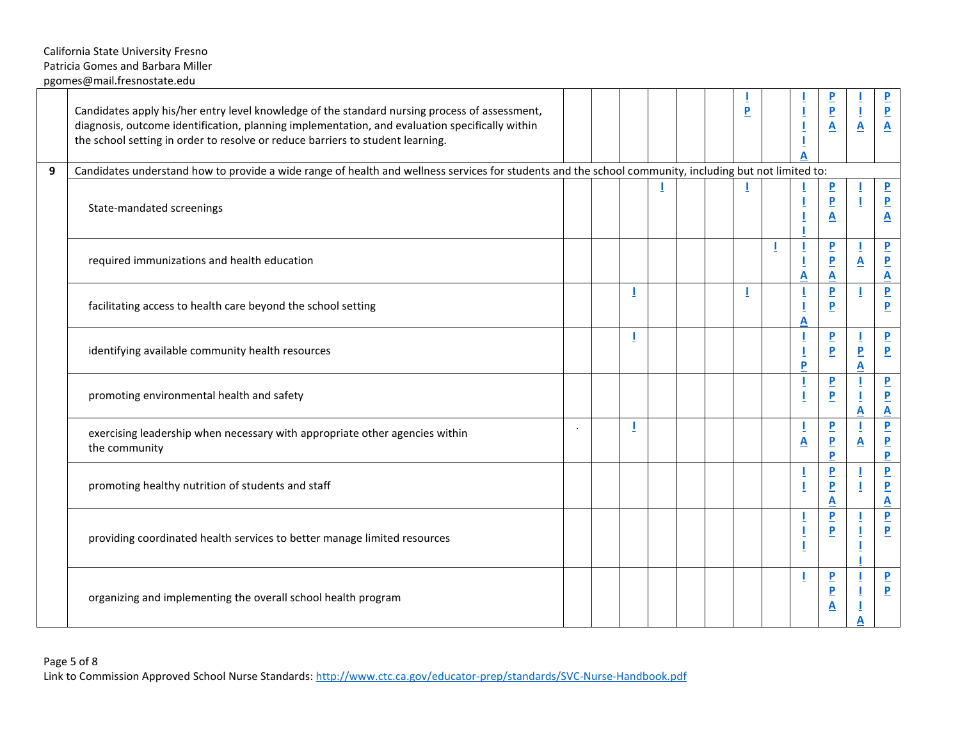|   | Candidates apply his/her entry level knowledge of the standard nursing process of assessment,<br>diagnosis, outcome identification, planning implementation, and evaluation specifically within<br>the school setting in order to resolve or reduce barriers to student learning. |  |  |  | P  |   | $\overline{\mathbf{P}}$<br>$\overline{\mathbf{P}}$<br>$\overline{\mathbf{A}}$  | Ţ<br>$\overline{\mathbf{A}}$ | $\overline{\mathbf{P}}$<br>$\frac{P}{A}$                                      |
|---|-----------------------------------------------------------------------------------------------------------------------------------------------------------------------------------------------------------------------------------------------------------------------------------|--|--|--|----|---|--------------------------------------------------------------------------------|------------------------------|-------------------------------------------------------------------------------|
| 9 | Candidates understand how to provide a wide range of health and wellness services for students and the school community, including but not limited to:                                                                                                                            |  |  |  |    |   |                                                                                |                              |                                                                               |
|   | State-mandated screenings                                                                                                                                                                                                                                                         |  |  |  | J. |   | $\overline{\mathbf{b}}$<br>$\overline{\mathbf{P}}$<br>$\underline{\mathbf{A}}$ | 1                            | $\overline{\mathbf{P}}$<br>$\overline{\mathbf{P}}$<br>$\overline{\mathbf{A}}$ |
|   | required immunizations and health education                                                                                                                                                                                                                                       |  |  |  |    | A | $\overline{\mathbf{P}}$<br>$\overline{\mathbf{P}}$<br>A                        | $\underline{\mathbf{A}}$     | $\overline{\mathbf{P}}$<br>$\overline{P}$<br>$\overline{\mathbf{A}}$          |
|   | facilitating access to health care beyond the school setting                                                                                                                                                                                                                      |  |  |  |    | A | $\overline{\mathbf{P}}$<br>$\overline{P}$                                      |                              | $\overline{\mathbf{P}}$<br>$\overline{P}$                                     |
|   | identifying available community health resources                                                                                                                                                                                                                                  |  |  |  |    | P | $\overline{\mathbf{P}}$<br>$\overline{P}$                                      | $\overline{\mathbf{P}}$<br>A | $\overline{\mathbf{P}}$<br>$\mathbf P$                                        |
|   | promoting environmental health and safety                                                                                                                                                                                                                                         |  |  |  |    |   | $\overline{\mathbf{P}}$<br>$\overline{P}$                                      | A                            | $\overline{\mathbf{P}}$<br>$\overline{\mathbf{P}}$<br>$\overline{\mathbf{A}}$ |
|   | exercising leadership when necessary with appropriate other agencies within<br>the community                                                                                                                                                                                      |  |  |  |    | A | $\overline{\mathbf{b}}$<br>$\overline{\mathbf{P}}$<br>P                        | A                            | $\overline{\mathbf{P}}$<br>$\frac{P}{P}$                                      |
|   | promoting healthy nutrition of students and staff                                                                                                                                                                                                                                 |  |  |  |    |   | $\overline{\mathbf{P}}$<br>$\overline{\mathbf{P}}$<br>A                        |                              | $\overline{\mathbf{P}}$<br>$\overline{P}$<br>$\mathsf{A}$                     |
|   | providing coordinated health services to better manage limited resources                                                                                                                                                                                                          |  |  |  |    |   | $\overline{P}$<br>$\overline{P}$                                               |                              | $\overline{\mathbf{P}}$<br>$\overline{P}$                                     |
|   | organizing and implementing the overall school health program                                                                                                                                                                                                                     |  |  |  |    |   | $\overline{\mathbf{P}}$<br>$\overline{\mathbf{P}}$<br>$\underline{\mathbf{A}}$ |                              | $\overline{\mathbf{P}}$<br>$\overline{P}$                                     |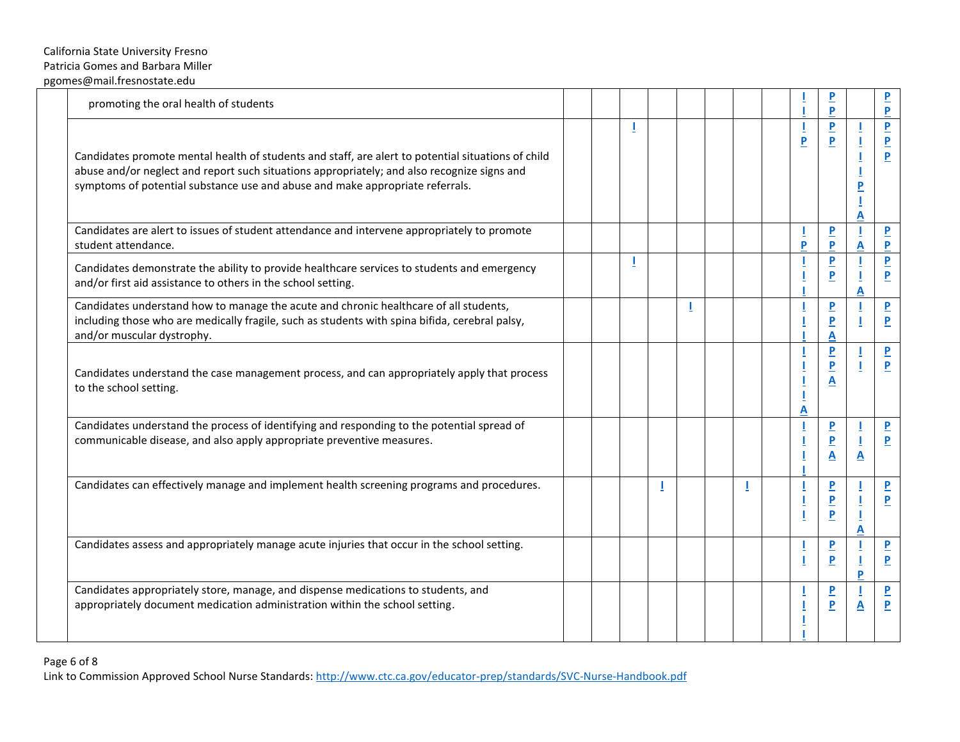| promoting the oral health of students                                                                                                                                                                                                                                              |  |  |    |  |                | Þ                                                        |        | P                                                       |
|------------------------------------------------------------------------------------------------------------------------------------------------------------------------------------------------------------------------------------------------------------------------------------|--|--|----|--|----------------|----------------------------------------------------------|--------|---------------------------------------------------------|
| Candidates promote mental health of students and staff, are alert to potential situations of child<br>abuse and/or neglect and report such situations appropriately; and also recognize signs and<br>symptoms of potential substance use and abuse and make appropriate referrals. |  |  |    |  | $\overline{P}$ | $\overline{P}$<br>$\overline{P}$                         | P<br>Α | $\overline{\mathbf{P}}$<br>$\overline{\mathbf{P}}$<br>P |
| Candidates are alert to issues of student attendance and intervene appropriately to promote<br>student attendance.                                                                                                                                                                 |  |  |    |  | P              | $\overline{P}$<br>P                                      | A      | $\overline{P}$<br>P                                     |
| Candidates demonstrate the ability to provide healthcare services to students and emergency<br>and/or first aid assistance to others in the school setting.                                                                                                                        |  |  |    |  |                | $\overline{P}$<br>$\overline{P}$                         | А      | $\overline{P}$<br>$\overline{P}$                        |
| Candidates understand how to manage the acute and chronic healthcare of all students,<br>including those who are medically fragile, such as students with spina bifida, cerebral palsy,<br>and/or muscular dystrophy.                                                              |  |  | J. |  |                | $\overline{P}$<br>$\overline{P}$<br>$\mathbf{A}$         |        | $\overline{P}$<br>$\overline{\mathbf{P}}$               |
| Candidates understand the case management process, and can appropriately apply that process<br>to the school setting.                                                                                                                                                              |  |  |    |  | Α              | $\mathbf P$<br>$\overline{P}$<br>$\overline{\mathbf{A}}$ |        | $\overline{\mathbf{P}}$<br>P                            |
| Candidates understand the process of identifying and responding to the potential spread of<br>communicable disease, and also apply appropriate preventive measures.                                                                                                                |  |  |    |  |                | $\overline{P}$<br>$\overline{P}$<br>A                    | A      | $\overline{P}$<br>$\mathbf{P}$                          |
| Candidates can effectively manage and implement health screening programs and procedures.                                                                                                                                                                                          |  |  |    |  |                | $\overline{P}$<br>$\overline{P}$<br>$\overline{P}$       | А      | $\overline{P}$<br>P                                     |
| Candidates assess and appropriately manage acute injuries that occur in the school setting.                                                                                                                                                                                        |  |  |    |  |                | $\overline{P}$<br>$\overline{P}$                         | Þ      | $\overline{\mathbf{P}}$<br>$\overline{P}$               |
| Candidates appropriately store, manage, and dispense medications to students, and<br>appropriately document medication administration within the school setting.                                                                                                                   |  |  |    |  |                | $\overline{P}$<br>$\overline{P}$                         | A      | $\overline{\mathbf{P}}$<br>P                            |

Link to Commission Approved School Nurse Standards[: http://www.ctc.ca.gov/educator-prep/standards/SVC-Nurse-Handbook.pdf](http://www.ctc.ca.gov/educator-prep/standards/SVC-Nurse-Handbook.pdf)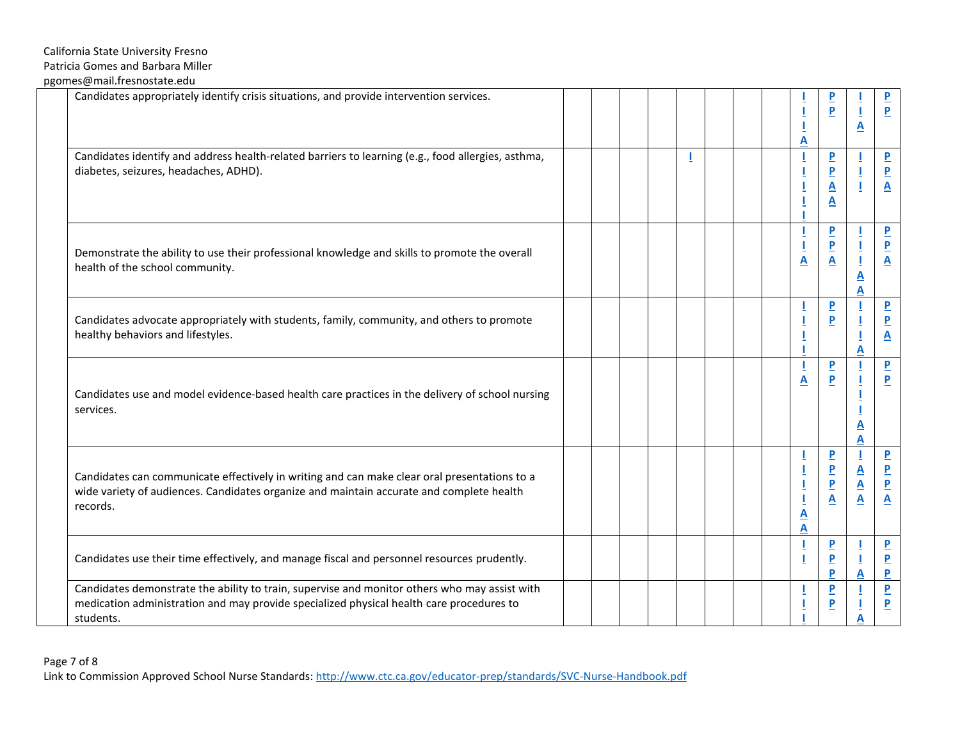|           | Candidates appropriately identify crisis situations, and provide intervention services.                                                                                                   |  |  |  |  | <u>A</u>                     | $\overline{\mathbf{P}}$<br>$\overline{P}$                                                                  | $\overline{\mathbf{A}}$                                    | $\overline{\mathbf{P}}$<br>$\overline{P}$                                     |
|-----------|-------------------------------------------------------------------------------------------------------------------------------------------------------------------------------------------|--|--|--|--|------------------------------|------------------------------------------------------------------------------------------------------------|------------------------------------------------------------|-------------------------------------------------------------------------------|
|           | Candidates identify and address health-related barriers to learning (e.g., food allergies, asthma,<br>diabetes, seizures, headaches, ADHD).                                               |  |  |  |  |                              | $\overline{\mathbf{P}}$<br>$\underline{\mathsf{P}}$<br>$\underline{\mathbf{A}}$<br>$\overline{\mathbf{A}}$ | п                                                          | $\overline{\mathbf{P}}$<br>$\overline{\mathbf{P}}$<br>$\overline{\mathbf{A}}$ |
|           | Demonstrate the ability to use their professional knowledge and skills to promote the overall<br>health of the school community.                                                          |  |  |  |  | $\overline{\mathbf{A}}$      | $\overline{\mathbf{P}}$<br>$\overline{\mathbf{P}}$<br>$\overline{\mathbf{A}}$                              | ı<br><u>А</u><br>A                                         | $\overline{\mathbf{P}}$<br>$\overline{\mathbf{P}}$<br>$\overline{\mathbf{A}}$ |
|           | Candidates advocate appropriately with students, family, community, and others to promote<br>healthy behaviors and lifestyles.                                                            |  |  |  |  |                              | $\overline{\mathbf{P}}$<br>$\overline{P}$                                                                  | A                                                          | $\overline{\mathbf{P}}$<br>$\overline{\mathbf{P}}$<br>$\overline{\mathbf{A}}$ |
| services. | Candidates use and model evidence-based health care practices in the delivery of school nursing                                                                                           |  |  |  |  | $\overline{\mathbf{A}}$      | $\overline{\mathbf{P}}$<br>P                                                                               | <u>A</u><br>A                                              | $\overline{\mathbf{P}}$<br>$\overline{P}$                                     |
| records.  | Candidates can communicate effectively in writing and can make clear oral presentations to a<br>wide variety of audiences. Candidates organize and maintain accurate and complete health  |  |  |  |  | $\overline{\mathbf{A}}$<br>A | $\overline{\mathbf{P}}$<br>$\frac{P}{P}$<br>$\overline{\mathbf{A}}$                                        | $\frac{\mathbf{A}}{\mathbf{A}}$<br>$\overline{\mathsf{A}}$ | $\overline{\mathbf{P}}$<br>$\frac{P}{P}$<br>$\underline{\mathbf{A}}$          |
|           | Candidates use their time effectively, and manage fiscal and personnel resources prudently.                                                                                               |  |  |  |  |                              | $\overline{\mathbf{P}}$<br>$\overline{P}$<br>P                                                             | A                                                          | $\overline{\mathbf{P}}$<br>$\frac{P}{P}$                                      |
| students. | Candidates demonstrate the ability to train, supervise and monitor others who may assist with<br>medication administration and may provide specialized physical health care procedures to |  |  |  |  |                              | $\overline{\mathbf{P}}$<br>$\overline{P}$                                                                  |                                                            | $\overline{\mathbf{P}}$<br>$\overline{P}$                                     |